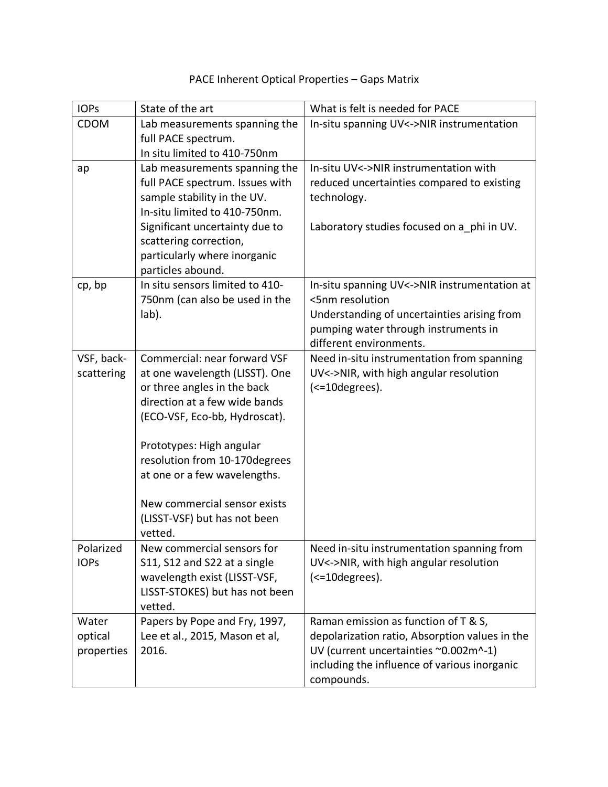| <b>IOPs</b>                    | State of the art                                                                                                                                                                                                                                                                                                                        | What is felt is needed for PACE                                                                                                                                                               |
|--------------------------------|-----------------------------------------------------------------------------------------------------------------------------------------------------------------------------------------------------------------------------------------------------------------------------------------------------------------------------------------|-----------------------------------------------------------------------------------------------------------------------------------------------------------------------------------------------|
| <b>CDOM</b>                    | Lab measurements spanning the<br>full PACE spectrum.<br>In situ limited to 410-750nm                                                                                                                                                                                                                                                    | In-situ spanning UV<->NIR instrumentation                                                                                                                                                     |
| ap                             | Lab measurements spanning the<br>full PACE spectrum. Issues with<br>sample stability in the UV.<br>In-situ limited to 410-750nm.<br>Significant uncertainty due to<br>scattering correction,<br>particularly where inorganic<br>particles abound.                                                                                       | In-situ UV<->NIR instrumentation with<br>reduced uncertainties compared to existing<br>technology.<br>Laboratory studies focused on a phi in UV.                                              |
| cp, bp                         | In situ sensors limited to 410-<br>750nm (can also be used in the<br>lab).                                                                                                                                                                                                                                                              | In-situ spanning UV<->NIR instrumentation at<br><5nm resolution<br>Understanding of uncertainties arising from<br>pumping water through instruments in<br>different environments.             |
| VSF, back-<br>scattering       | Commercial: near forward VSF<br>at one wavelength (LISST). One<br>or three angles in the back<br>direction at a few wide bands<br>(ECO-VSF, Eco-bb, Hydroscat).<br>Prototypes: High angular<br>resolution from 10-170degrees<br>at one or a few wavelengths.<br>New commercial sensor exists<br>(LISST-VSF) but has not been<br>vetted. | Need in-situ instrumentation from spanning<br>UV<->NIR, with high angular resolution<br>(<=10degrees).                                                                                        |
| Polarized<br><b>IOPs</b>       | New commercial sensors for<br>S11, S12 and S22 at a single<br>wavelength exist (LISST-VSF,<br>LISST-STOKES) but has not been<br>vetted.                                                                                                                                                                                                 | Need in-situ instrumentation spanning from<br>UV<->NIR, with high angular resolution<br>(<=10degrees).                                                                                        |
| Water<br>optical<br>properties | Papers by Pope and Fry, 1997,<br>Lee et al., 2015, Mason et al,<br>2016.                                                                                                                                                                                                                                                                | Raman emission as function of T & S,<br>depolarization ratio, Absorption values in the<br>UV (current uncertainties ~0.002m^-1)<br>including the influence of various inorganic<br>compounds. |

## PACE Inherent Optical Properties – Gaps Matrix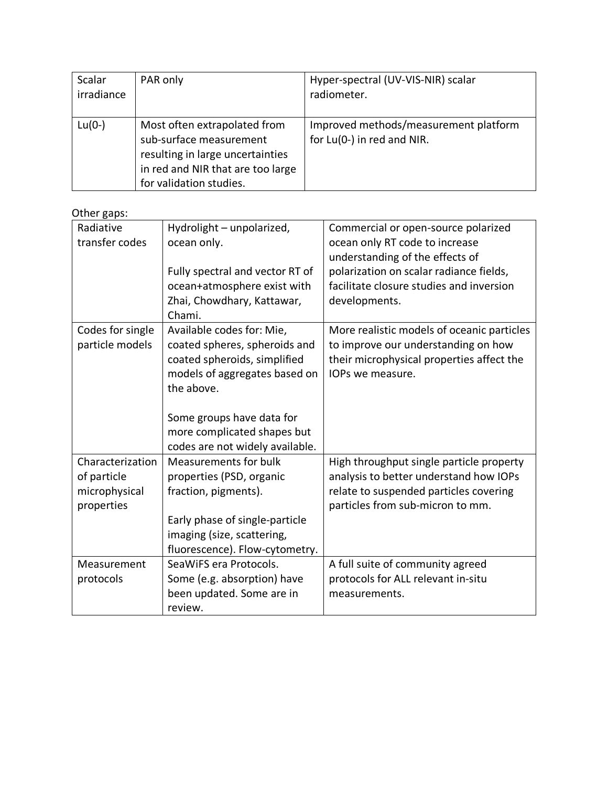| Scalar     | PAR only                                                                                                                                                    | Hyper-spectral (UV-VIS-NIR) scalar                                  |
|------------|-------------------------------------------------------------------------------------------------------------------------------------------------------------|---------------------------------------------------------------------|
| irradiance |                                                                                                                                                             | radiometer.                                                         |
|            |                                                                                                                                                             |                                                                     |
| $Lu(0-)$   | Most often extrapolated from<br>sub-surface measurement<br>resulting in large uncertainties<br>in red and NIR that are too large<br>for validation studies. | Improved methods/measurement platform<br>for Lu(0-) in red and NIR. |

## Other gaps:

| Radiative<br>transfer codes                                    | Hydrolight - unpolarized,<br>ocean only.<br>Fully spectral and vector RT of<br>ocean+atmosphere exist with<br>Zhai, Chowdhary, Kattawar,<br>Chami.                                                                                       | Commercial or open-source polarized<br>ocean only RT code to increase<br>understanding of the effects of<br>polarization on scalar radiance fields,<br>facilitate closure studies and inversion<br>developments. |
|----------------------------------------------------------------|------------------------------------------------------------------------------------------------------------------------------------------------------------------------------------------------------------------------------------------|------------------------------------------------------------------------------------------------------------------------------------------------------------------------------------------------------------------|
| Codes for single<br>particle models                            | Available codes for: Mie,<br>coated spheres, spheroids and<br>coated spheroids, simplified<br>models of aggregates based on<br>the above.<br>Some groups have data for<br>more complicated shapes but<br>codes are not widely available. | More realistic models of oceanic particles<br>to improve our understanding on how<br>their microphysical properties affect the<br>IOPs we measure.                                                               |
| Characterization<br>of particle<br>microphysical<br>properties | <b>Measurements for bulk</b><br>properties (PSD, organic<br>fraction, pigments).<br>Early phase of single-particle<br>imaging (size, scattering,<br>fluorescence). Flow-cytometry.                                                       | High throughput single particle property<br>analysis to better understand how IOPs<br>relate to suspended particles covering<br>particles from sub-micron to mm.                                                 |
| Measurement<br>protocols                                       | SeaWiFS era Protocols.<br>Some (e.g. absorption) have<br>been updated. Some are in<br>review.                                                                                                                                            | A full suite of community agreed<br>protocols for ALL relevant in-situ<br>measurements.                                                                                                                          |